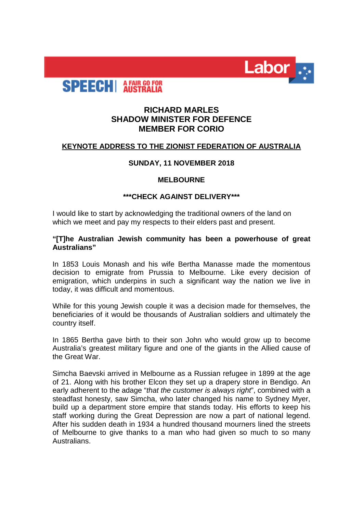

# **SPEECH** AFAIR GO FOR

## **RICHARD MARLES SHADOW MINISTER FOR DEFENCE MEMBER FOR CORIO**

## **KEYNOTE ADDRESS TO THE ZIONIST FEDERATION OF AUSTRALIA**

## **SUNDAY, 11 NOVEMBER 2018**

## **MELBOURNE**

## **\*\*\*CHECK AGAINST DELIVERY\*\*\***

I would like to start by acknowledging the traditional owners of the land on which we meet and pay my respects to their elders past and present.

## **"[T]he Australian Jewish community has been a powerhouse of great Australians"**

In 1853 Louis Monash and his wife Bertha Manasse made the momentous decision to emigrate from Prussia to Melbourne. Like every decision of emigration, which underpins in such a significant way the nation we live in today, it was difficult and momentous.

While for this young Jewish couple it was a decision made for themselves, the beneficiaries of it would be thousands of Australian soldiers and ultimately the country itself.

In 1865 Bertha gave birth to their son John who would grow up to become Australia's greatest military figure and one of the giants in the Allied cause of the Great War.

Simcha Baevski arrived in Melbourne as a Russian refugee in 1899 at the age of 21. Along with his brother Elcon they set up a drapery store in Bendigo. An early adherent to the adage "*that the customer is always right*", combined with a steadfast honesty, saw Simcha, who later changed his name to Sydney Myer, build up a department store empire that stands today. His efforts to keep his staff working during the Great Depression are now a part of national legend. After his sudden death in 1934 a hundred thousand mourners lined the streets of Melbourne to give thanks to a man who had given so much to so many Australians.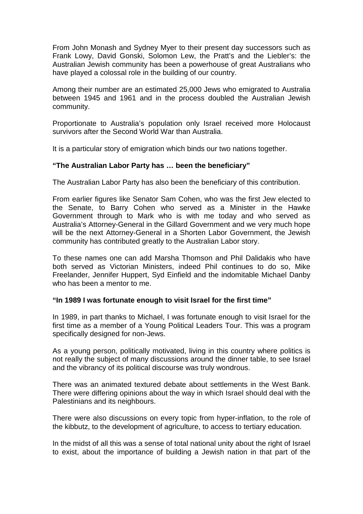From John Monash and Sydney Myer to their present day successors such as Frank Lowy, David Gonski, Solomon Lew, the Pratt's and the Liebler's: the Australian Jewish community has been a powerhouse of great Australians who have played a colossal role in the building of our country.

Among their number are an estimated 25,000 Jews who emigrated to Australia between 1945 and 1961 and in the process doubled the Australian Jewish community.

Proportionate to Australia's population only Israel received more Holocaust survivors after the Second World War than Australia.

It is a particular story of emigration which binds our two nations together.

## **"The Australian Labor Party has … been the beneficiary"**

The Australian Labor Party has also been the beneficiary of this contribution.

From earlier figures like Senator Sam Cohen, who was the first Jew elected to the Senate, to Barry Cohen who served as a Minister in the Hawke Government through to Mark who is with me today and who served as Australia's Attorney-General in the Gillard Government and we very much hope will be the next Attorney-General in a Shorten Labor Government, the Jewish community has contributed greatly to the Australian Labor story.

To these names one can add Marsha Thomson and Phil Dalidakis who have both served as Victorian Ministers, indeed Phil continues to do so, Mike Freelander, Jennifer Huppert, Syd Einfield and the indomitable Michael Danby who has been a mentor to me.

#### **"In 1989 I was fortunate enough to visit Israel for the first time"**

In 1989, in part thanks to Michael, I was fortunate enough to visit Israel for the first time as a member of a Young Political Leaders Tour. This was a program specifically designed for non-Jews.

As a young person, politically motivated, living in this country where politics is not really the subject of many discussions around the dinner table, to see Israel and the vibrancy of its political discourse was truly wondrous.

There was an animated textured debate about settlements in the West Bank. There were differing opinions about the way in which Israel should deal with the Palestinians and its neighbours.

There were also discussions on every topic from hyper-inflation, to the role of the kibbutz, to the development of agriculture, to access to tertiary education.

In the midst of all this was a sense of total national unity about the right of Israel to exist, about the importance of building a Jewish nation in that part of the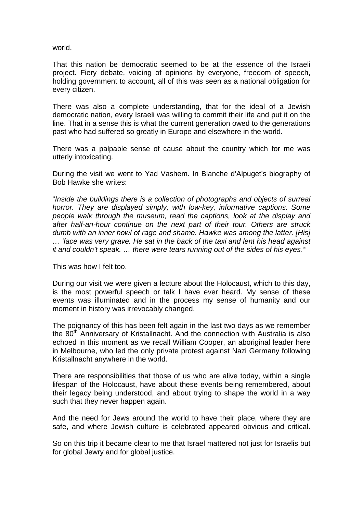world.

That this nation be democratic seemed to be at the essence of the Israeli project. Fiery debate, voicing of opinions by everyone, freedom of speech, holding government to account, all of this was seen as a national obligation for every citizen.

There was also a complete understanding, that for the ideal of a Jewish democratic nation, every Israeli was willing to commit their life and put it on the line. That in a sense this is what the current generation owed to the generations past who had suffered so greatly in Europe and elsewhere in the world.

There was a palpable sense of cause about the country which for me was utterly intoxicating.

During the visit we went to Yad Vashem. In Blanche d'Alpuget's biography of Bob Hawke she writes:

"*Inside the buildings there is a collection of photographs and objects of surreal horror. They are displayed simply, with low-key, informative captions. Some people walk through the museum, read the captions, look at the display and after half-an-hour continue on the next part of their tour. Others are struck dumb with an inner howl of rage and shame. Hawke was among the latter. [His] … 'face was very grave. He sat in the back of the taxi and lent his head against it and couldn't speak. … there were tears running out of the sides of his eyes.'*"

This was how I felt too.

During our visit we were given a lecture about the Holocaust, which to this day, is the most powerful speech or talk I have ever heard. My sense of these events was illuminated and in the process my sense of humanity and our moment in history was irrevocably changed.

The poignancy of this has been felt again in the last two days as we remember the  $80<sup>th</sup>$  Anniversary of Kristallnacht. And the connection with Australia is also echoed in this moment as we recall William Cooper, an aboriginal leader here in Melbourne, who led the only private protest against Nazi Germany following Kristallnacht anywhere in the world.

There are responsibilities that those of us who are alive today, within a single lifespan of the Holocaust, have about these events being remembered, about their legacy being understood, and about trying to shape the world in a way such that they never happen again.

And the need for Jews around the world to have their place, where they are safe, and where Jewish culture is celebrated appeared obvious and critical.

So on this trip it became clear to me that Israel mattered not just for Israelis but for global Jewry and for global justice.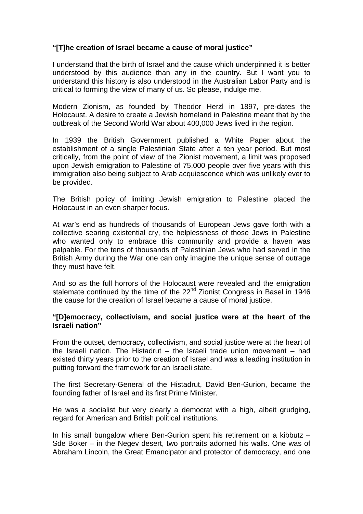## **"[T]he creation of Israel became a cause of moral justice"**

I understand that the birth of Israel and the cause which underpinned it is better understood by this audience than any in the country. But I want you to understand this history is also understood in the Australian Labor Party and is critical to forming the view of many of us. So please, indulge me.

Modern Zionism, as founded by Theodor Herzl in 1897, pre-dates the Holocaust. A desire to create a Jewish homeland in Palestine meant that by the outbreak of the Second World War about 400,000 Jews lived in the region.

In 1939 the British Government published a White Paper about the establishment of a single Palestinian State after a ten year period. But most critically, from the point of view of the Zionist movement, a limit was proposed upon Jewish emigration to Palestine of 75,000 people over five years with this immigration also being subject to Arab acquiescence which was unlikely ever to be provided.

The British policy of limiting Jewish emigration to Palestine placed the Holocaust in an even sharper focus.

At war's end as hundreds of thousands of European Jews gave forth with a collective searing existential cry, the helplessness of those Jews in Palestine who wanted only to embrace this community and provide a haven was palpable. For the tens of thousands of Palestinian Jews who had served in the British Army during the War one can only imagine the unique sense of outrage they must have felt.

And so as the full horrors of the Holocaust were revealed and the emigration stalemate continued by the time of the 22<sup>nd</sup> Zionist Congress in Basel in 1946 the cause for the creation of Israel became a cause of moral justice.

## **"[D]emocracy, collectivism, and social justice were at the heart of the Israeli nation"**

From the outset, democracy, collectivism, and social justice were at the heart of the Israeli nation. The Histadrut – the Israeli trade union movement – had existed thirty years prior to the creation of Israel and was a leading institution in putting forward the framework for an Israeli state.

The first Secretary-General of the Histadrut, David Ben-Gurion, became the founding father of Israel and its first Prime Minister.

He was a socialist but very clearly a democrat with a high, albeit grudging, regard for American and British political institutions.

In his small bungalow where Ben-Gurion spent his retirement on a kibbutz – Sde Boker – in the Negev desert, two portraits adorned his walls. One was of Abraham Lincoln, the Great Emancipator and protector of democracy, and one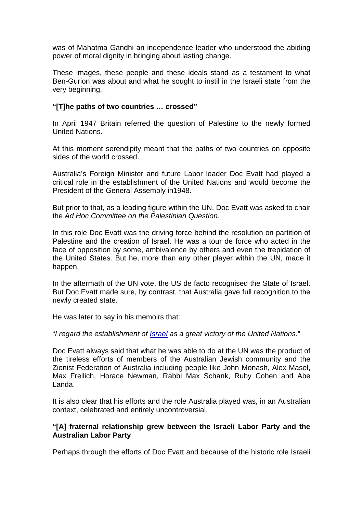was of Mahatma Gandhi an independence leader who understood the abiding power of moral dignity in bringing about lasting change.

These images, these people and these ideals stand as a testament to what Ben-Gurion was about and what he sought to instil in the Israeli state from the very beginning.

## **"[T]he paths of two countries … crossed"**

In April 1947 Britain referred the question of Palestine to the newly formed United Nations.

At this moment serendipity meant that the paths of two countries on opposite sides of the world crossed.

Australia's Foreign Minister and future Labor leader Doc Evatt had played a critical role in the establishment of the United Nations and would become the President of the General Assembly in1948.

But prior to that, as a leading figure within the UN, Doc Evatt was asked to chair the *Ad Hoc Committee on the Palestinian Question*.

In this role Doc Evatt was the driving force behind the resolution on partition of Palestine and the creation of Israel. He was a tour de force who acted in the face of opposition by some, ambivalence by others and even the trepidation of the United States. But he, more than any other player within the UN, made it happen.

In the aftermath of the UN vote, the US de facto recognised the State of Israel. But Doc Evatt made sure, by contrast, that Australia gave full recognition to the newly created state.

He was later to say in his memoirs that:

"*I regard the establishment of [Israel](https://alp.us12.list-manage.com/track/click?u=942ebc4c1cf8fc522a4f4c50e&id=9e9c35e7f6&e=7082164806) as a great victory of the United Nations.*"

Doc Evatt always said that what he was able to do at the UN was the product of the tireless efforts of members of the Australian Jewish community and the Zionist Federation of Australia including people like John Monash, Alex Masel, Max Freilich, Horace Newman, Rabbi Max Schank, Ruby Cohen and Abe Landa.

It is also clear that his efforts and the role Australia played was, in an Australian context, celebrated and entirely uncontroversial.

## **"[A] fraternal relationship grew between the Israeli Labor Party and the Australian Labor Party**

Perhaps through the efforts of Doc Evatt and because of the historic role Israeli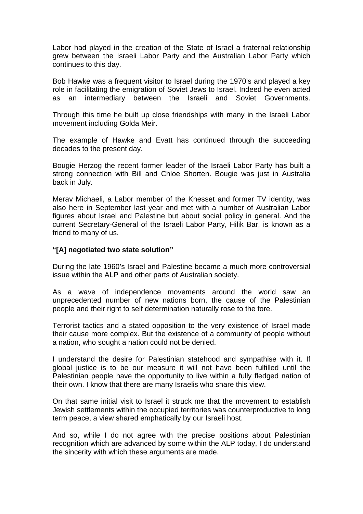Labor had played in the creation of the State of Israel a fraternal relationship grew between the Israeli Labor Party and the Australian Labor Party which continues to this day.

Bob Hawke was a frequent visitor to Israel during the 1970's and played a key role in facilitating the emigration of Soviet Jews to Israel. Indeed he even acted as an intermediary between the Israeli and Soviet Governments.

Through this time he built up close friendships with many in the Israeli Labor movement including Golda Meir.

The example of Hawke and Evatt has continued through the succeeding decades to the present day.

Bougie Herzog the recent former leader of the Israeli Labor Party has built a strong connection with Bill and Chloe Shorten. Bougie was just in Australia back in July.

Merav Michaeli, a Labor member of the Knesset and former TV identity, was also here in September last year and met with a number of Australian Labor figures about Israel and Palestine but about social policy in general. And the current Secretary-General of the Israeli Labor Party, Hilik Bar, is known as a friend to many of us.

## **"[A] negotiated two state solution"**

During the late 1960's Israel and Palestine became a much more controversial issue within the ALP and other parts of Australian society.

As a wave of independence movements around the world saw an unprecedented number of new nations born, the cause of the Palestinian people and their right to self determination naturally rose to the fore.

Terrorist tactics and a stated opposition to the very existence of Israel made their cause more complex. But the existence of a community of people without a nation, who sought a nation could not be denied.

I understand the desire for Palestinian statehood and sympathise with it. If global justice is to be our measure it will not have been fulfilled until the Palestinian people have the opportunity to live within a fully fledged nation of their own. I know that there are many Israelis who share this view.

On that same initial visit to Israel it struck me that the movement to establish Jewish settlements within the occupied territories was counterproductive to long term peace, a view shared emphatically by our Israeli host.

And so, while I do not agree with the precise positions about Palestinian recognition which are advanced by some within the ALP today, I do understand the sincerity with which these arguments are made.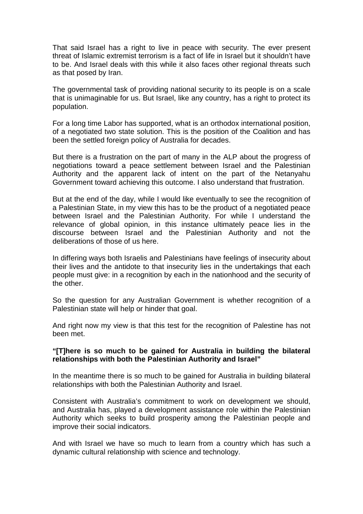That said Israel has a right to live in peace with security. The ever present threat of Islamic extremist terrorism is a fact of life in Israel but it shouldn't have to be. And Israel deals with this while it also faces other regional threats such as that posed by Iran.

The governmental task of providing national security to its people is on a scale that is unimaginable for us. But Israel, like any country, has a right to protect its population.

For a long time Labor has supported, what is an orthodox international position, of a negotiated two state solution. This is the position of the Coalition and has been the settled foreign policy of Australia for decades.

But there is a frustration on the part of many in the ALP about the progress of negotiations toward a peace settlement between Israel and the Palestinian Authority and the apparent lack of intent on the part of the Netanyahu Government toward achieving this outcome. I also understand that frustration.

But at the end of the day, while I would like eventually to see the recognition of a Palestinian State, in my view this has to be the product of a negotiated peace between Israel and the Palestinian Authority. For while I understand the relevance of global opinion, in this instance ultimately peace lies in the discourse between Israel and the Palestinian Authority and not the deliberations of those of us here.

In differing ways both Israelis and Palestinians have feelings of insecurity about their lives and the antidote to that insecurity lies in the undertakings that each people must give: in a recognition by each in the nationhood and the security of the other.

So the question for any Australian Government is whether recognition of a Palestinian state will help or hinder that goal.

And right now my view is that this test for the recognition of Palestine has not been met.

## **"[T]here is so much to be gained for Australia in building the bilateral relationships with both the Palestinian Authority and Israel"**

In the meantime there is so much to be gained for Australia in building bilateral relationships with both the Palestinian Authority and Israel.

Consistent with Australia's commitment to work on development we should, and Australia has, played a development assistance role within the Palestinian Authority which seeks to build prosperity among the Palestinian people and improve their social indicators.

And with Israel we have so much to learn from a country which has such a dynamic cultural relationship with science and technology.